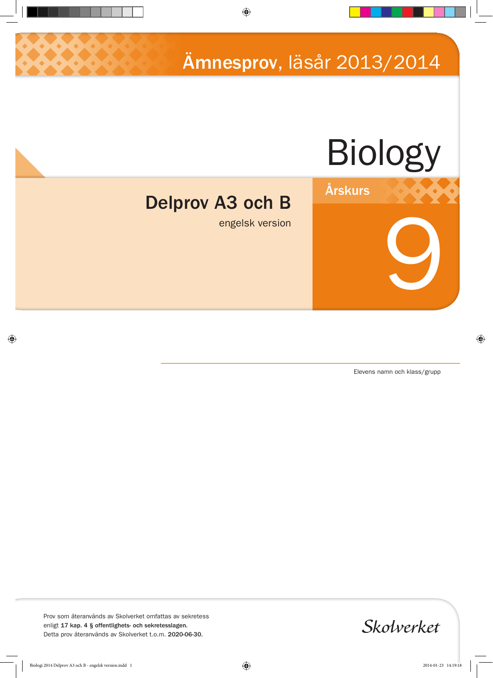Ämnesprov, läsår 2013/2014



Årskurs

# Delprov A3 och B

engelsk version

Elevens namn och klass/grupp

9

Prov som återanvänds av Skolverket omfattas av sekretess enligt 17 kap. 4 § offentlighets- och sekretesslagen. Detta prov återanvänds av Skolverket t.o.m. 2020-06-30.

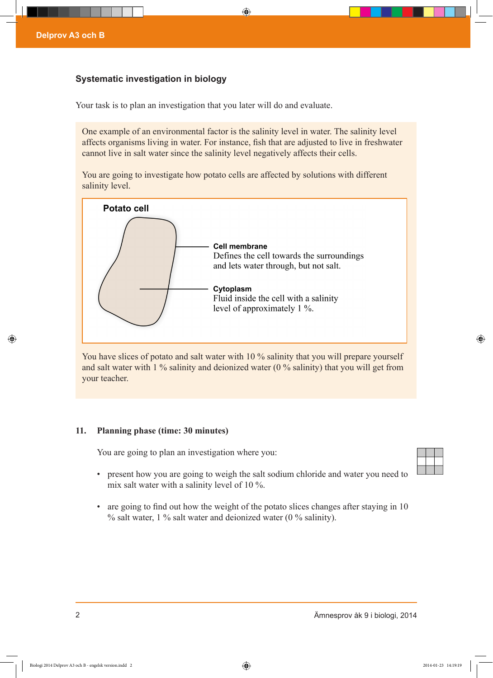# **Systematic investigation in biology**

Your task is to plan an investigation that you later will do and evaluate.

One example of an environmental factor is the salinity level in water. The salinity level affects organisms living in water. For instance, fish that are adjusted to live in freshwater cannot live in salt water since the salinity level negatively affects their cells.

You are going to investigate how potato cells are affected by solutions with different salinity level.



You have slices of potato and salt water with 10 % salinity that you will prepare yourself and salt water with 1 % salinity and deionized water (0 % salinity) that you will get from your teacher.

## **11. Planning phase (time: 30 minutes)**

You are going to plan an investigation where you:

- 
- present how you are going to weigh the salt sodium chloride and water you need to mix salt water with a salinity level of 10 %.
- are going to find out how the weight of the potato slices changes after staying in 10 % salt water, 1 % salt water and deionized water (0 % salinity).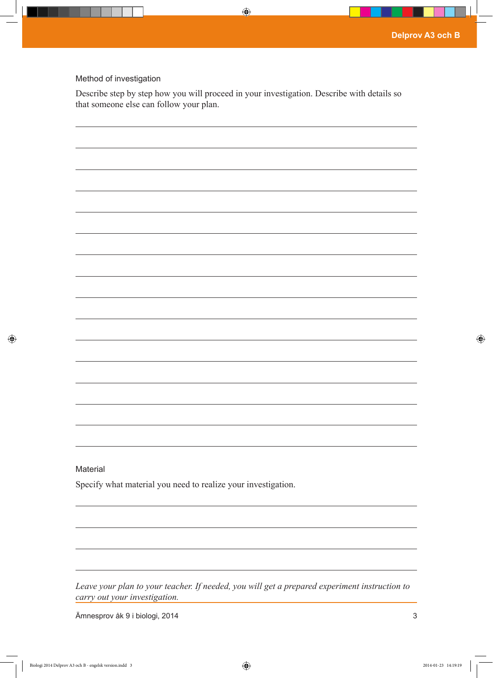#### Method of investigation

Describe step by step how you will proceed in your investigation. Describe with details so that someone else can follow your plan.

| Material |  |  |
|----------|--|--|

Specify what material you need to realize your investigation.

*Leave your plan to your teacher. If needed, you will get a prepared experiment instruction to carry out your investigation.*

Ämnesprov åk 9 i biologi, 2014 3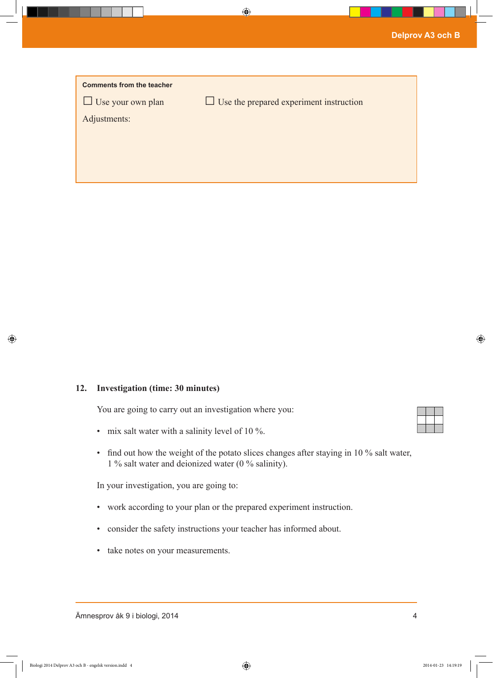| <b>Comments from the teacher</b> |                                                |
|----------------------------------|------------------------------------------------|
| $\Box$ Use your own plan         | $\Box$ Use the prepared experiment instruction |
| Adjustments:                     |                                                |
|                                  |                                                |
|                                  |                                                |
|                                  |                                                |

### **12. Investigation (time: 30 minutes)**

You are going to carry out an investigation where you:

- mix salt water with a salinity level of 10 %.
- find out how the weight of the potato slices changes after staying in 10 % salt water, 1 % salt water and deionized water (0 % salinity).

In your investigation, you are going to:

- work according to your plan or the prepared experiment instruction.
- consider the safety instructions your teacher has informed about.
- take notes on your measurements.